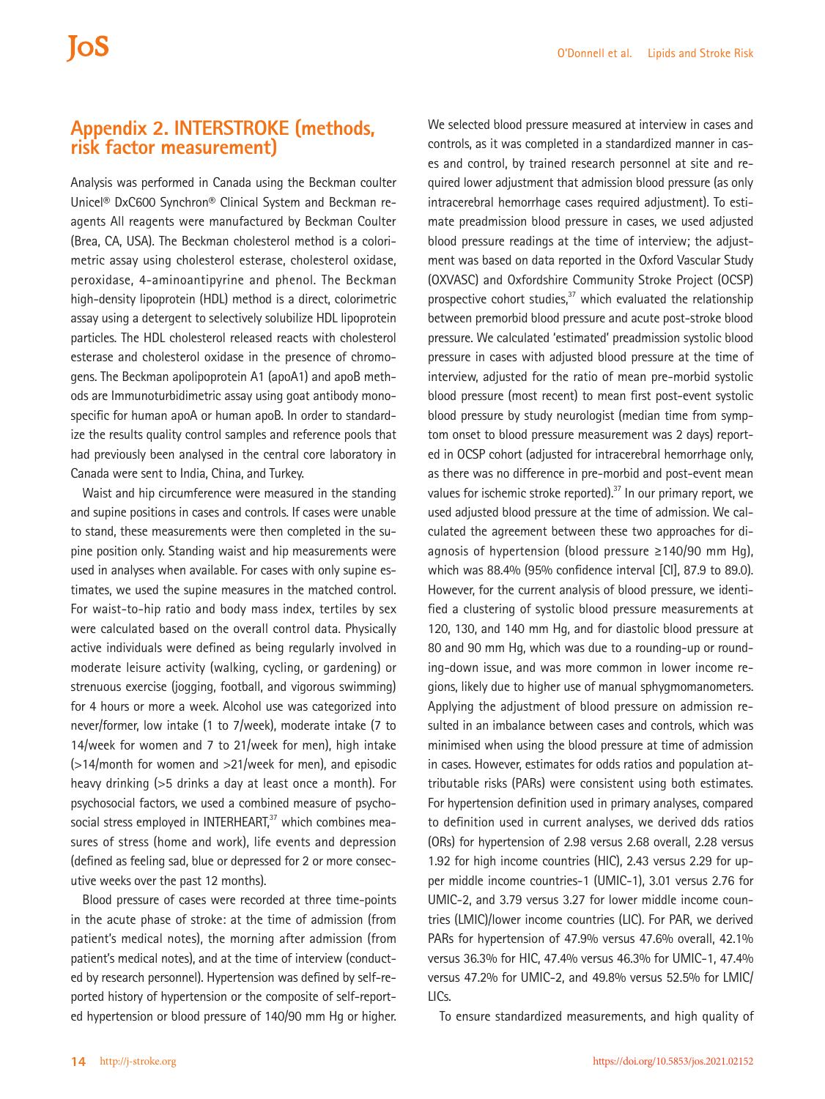## **Appendix 2. INTERSTROKE (methods, risk factor measurement)**

Analysis was performed in Canada using the Beckman coulter Unicel® DxC600 Synchron® Clinical System and Beckman reagents All reagents were manufactured by Beckman Coulter (Brea, CA, USA). The Beckman cholesterol method is a colorimetric assay using cholesterol esterase, cholesterol oxidase, peroxidase, 4-aminoantipyrine and phenol. The Beckman high-density lipoprotein (HDL) method is a direct, colorimetric assay using a detergent to selectively solubilize HDL lipoprotein particles. The HDL cholesterol released reacts with cholesterol esterase and cholesterol oxidase in the presence of chromogens. The Beckman apolipoprotein A1 (apoA1) and apoB methods are Immunoturbidimetric assay using goat antibody monospecific for human apoA or human apoB. In order to standardize the results quality control samples and reference pools that had previously been analysed in the central core laboratory in Canada were sent to India, China, and Turkey.

Waist and hip circumference were measured in the standing and supine positions in cases and controls. If cases were unable to stand, these measurements were then completed in the supine position only. Standing waist and hip measurements were used in analyses when available. For cases with only supine estimates, we used the supine measures in the matched control. For waist-to-hip ratio and body mass index, tertiles by sex were calculated based on the overall control data. Physically active individuals were defined as being regularly involved in moderate leisure activity (walking, cycling, or gardening) or strenuous exercise (jogging, football, and vigorous swimming) for 4 hours or more a week. Alcohol use was categorized into never/former, low intake (1 to 7/week), moderate intake (7 to 14/week for women and 7 to 21/week for men), high intake (>14/month for women and >21/week for men), and episodic heavy drinking (>5 drinks a day at least once a month). For psychosocial factors, we used a combined measure of psychosocial stress employed in INTERHEART,<sup>37</sup> which combines measures of stress (home and work), life events and depression (defined as feeling sad, blue or depressed for 2 or more consecutive weeks over the past 12 months).

Blood pressure of cases were recorded at three time-points in the acute phase of stroke: at the time of admission (from patient's medical notes), the morning after admission (from patient's medical notes), and at the time of interview (conducted by research personnel). Hypertension was defined by self-reported history of hypertension or the composite of self-reported hypertension or blood pressure of 140/90 mm Hg or higher.

We selected blood pressure measured at interview in cases and controls, as it was completed in a standardized manner in cases and control, by trained research personnel at site and required lower adjustment that admission blood pressure (as only intracerebral hemorrhage cases required adjustment). To estimate preadmission blood pressure in cases, we used adjusted blood pressure readings at the time of interview; the adjustment was based on data reported in the Oxford Vascular Study (OXVASC) and Oxfordshire Community Stroke Project (OCSP) prospective cohort studies, $37$  which evaluated the relationship between premorbid blood pressure and acute post-stroke blood pressure. We calculated 'estimated' preadmission systolic blood pressure in cases with adjusted blood pressure at the time of interview, adjusted for the ratio of mean pre-morbid systolic blood pressure (most recent) to mean first post-event systolic blood pressure by study neurologist (median time from symptom onset to blood pressure measurement was 2 days) reported in OCSP cohort (adjusted for intracerebral hemorrhage only, as there was no difference in pre-morbid and post-event mean values for ischemic stroke reported). $37$  In our primary report, we used adjusted blood pressure at the time of admission. We calculated the agreement between these two approaches for diagnosis of hypertension (blood pressure ≥140/90 mm Hg), which was 88.4% (95% confidence interval [CI], 87.9 to 89.0). However, for the current analysis of blood pressure, we identified a clustering of systolic blood pressure measurements at 120, 130, and 140 mm Hg, and for diastolic blood pressure at 80 and 90 mm Hg, which was due to a rounding-up or rounding-down issue, and was more common in lower income regions, likely due to higher use of manual sphygmomanometers. Applying the adjustment of blood pressure on admission resulted in an imbalance between cases and controls, which was minimised when using the blood pressure at time of admission in cases. However, estimates for odds ratios and population attributable risks (PARs) were consistent using both estimates. For hypertension definition used in primary analyses, compared to definition used in current analyses, we derived dds ratios (ORs) for hypertension of 2.98 versus 2.68 overall, 2.28 versus 1.92 for high income countries (HIC), 2.43 versus 2.29 for upper middle income countries-1 (UMIC-1), 3.01 versus 2.76 for UMIC-2, and 3.79 versus 3.27 for lower middle income countries (LMIC)/lower income countries (LIC). For PAR, we derived PARs for hypertension of 47.9% versus 47.6% overall, 42.1% versus 36.3% for HIC, 47.4% versus 46.3% for UMIC-1, 47.4% versus 47.2% for UMIC-2, and 49.8% versus 52.5% for LMIC/ LICs.

To ensure standardized measurements, and high quality of